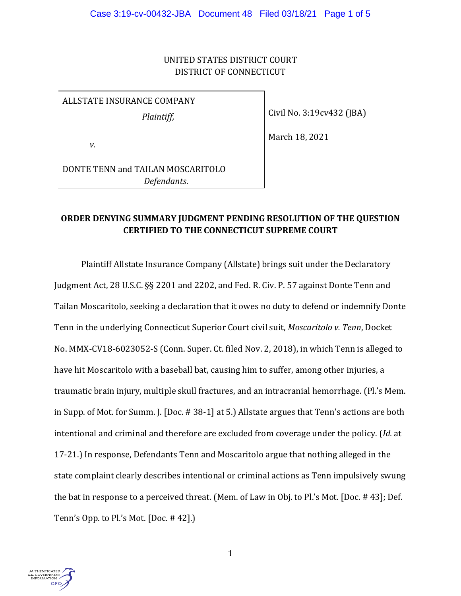## UNITED STATES DISTRICT COURT DISTRICT OF CONNECTICUT

# ALLSTATE INSURANCE COMPANY

*Plaintiff,*

Civil No. 3:19cv432 (JBA)

March 18, 2021

*v.*

DONTE TENN and TAILAN MOSCARITOLO *Defendants*.

# **ORDER DENYING SUMMARY JUDGMENT PENDING RESOLUTION OF THE QUESTION CERTIFIED TO THE CONNECTICUT SUPREME COURT**

Plaintiff Allstate Insurance Company (Allstate) brings suit under the Declaratory Judgment Act, 28 U.S.C. §§ 2201 and 2202, and Fed. R. Civ. P. 57 against Donte Tenn and Tailan Moscaritolo, seeking a declaration that it owes no duty to defend or indemnify Donte Tenn in the underlying Connecticut Superior Court civil suit, *Moscaritolo v. Tenn*, Docket No. MMX-CV18-6023052-S (Conn. Super. Ct. filed Nov. 2, 2018), in which Tenn is alleged to have hit Moscaritolo with a baseball bat, causing him to suffer, among other injuries, a traumatic brain injury, multiple skull fractures, and an intracranial hemorrhage. (Pl.'s Mem. in Supp. of Mot. for Summ. J. [Doc. # 38-1] at 5.) Allstate argues that Tenn's actions are both intentional and criminal and therefore are excluded from coverage under the policy. (*Id.* at 17-21.) In response, Defendants Tenn and Moscaritolo argue that nothing alleged in the state complaint clearly describes intentional or criminal actions as Tenn impulsively swung the bat in response to a perceived threat. (Mem. of Law in Obj. to Pl.'s Mot. [Doc. # 43]; Def. Tenn's Opp. to Pl.'s Mot. [Doc. # 42].)

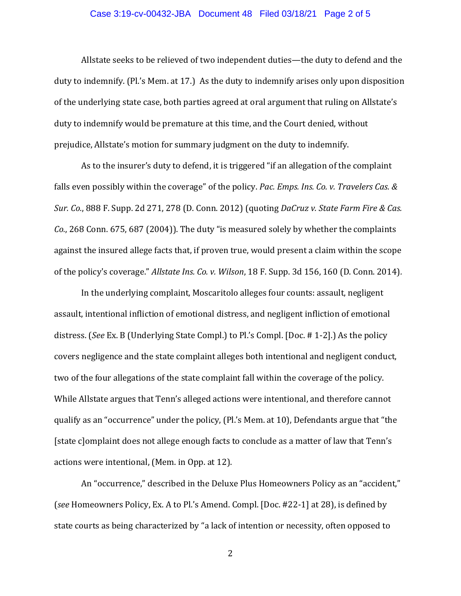#### Case 3:19-cv-00432-JBA Document 48 Filed 03/18/21 Page 2 of 5

Allstate seeks to be relieved of two independent duties—the duty to defend and the duty to indemnify. (Pl.'s Mem. at 17.) As the duty to indemnify arises only upon disposition of the underlying state case, both parties agreed at oral argument that ruling on Allstate's duty to indemnify would be premature at this time, and the Court denied, without prejudice, Allstate's motion for summary judgment on the duty to indemnify.

As to the insurer's duty to defend, it is triggered "if an allegation of the complaint falls even possibly within the coverage" of the policy. *Pac. Emps. Ins. Co. v. Travelers Cas. & Sur. Co.*, 888 F. Supp. 2d 271, 278 (D. Conn. 2012) (quoting *DaCruz v. State Farm Fire & Cas. Co.*, 268 Conn. 675, 687 (2004)). The duty "is measured solely by whether the complaints against the insured allege facts that, if proven true, would present a claim within the scope of the policy's coverage." *Allstate Ins. Co. v. Wilson*, 18 F. Supp. 3d 156, 160 (D. Conn. 2014)*.*

In the underlying complaint, Moscaritolo alleges four counts: assault, negligent assault, intentional infliction of emotional distress, and negligent infliction of emotional distress. (*See* Ex. B (Underlying State Compl.) to Pl.'s Compl. [Doc. # 1-2].) As the policy covers negligence and the state complaint alleges both intentional and negligent conduct, two of the four allegations of the state complaint fall within the coverage of the policy. While Allstate argues that Tenn's alleged actions were intentional, and therefore cannot qualify as an "occurrence" under the policy, (Pl.'s Mem. at 10), Defendants argue that "the [state c]omplaint does not allege enough facts to conclude as a matter of law that Tenn's actions were intentional, (Mem. in Opp. at 12).

An "occurrence," described in the Deluxe Plus Homeowners Policy as an "accident," (*see* Homeowners Policy, Ex. A to Pl.'s Amend. Compl. [Doc. #22-1] at 28), is defined by state courts as being characterized by "a lack of intention or necessity, often opposed to

2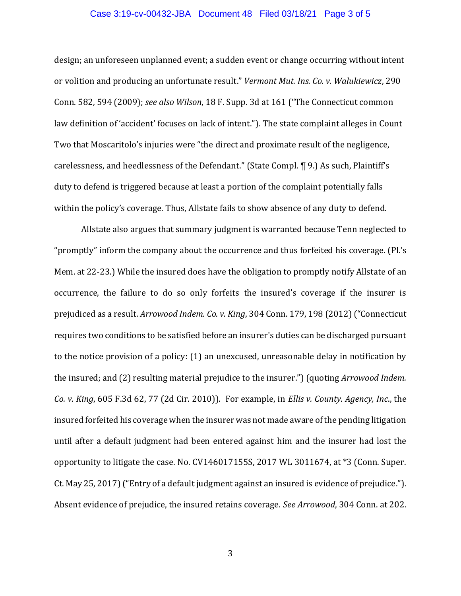#### Case 3:19-cv-00432-JBA Document 48 Filed 03/18/21 Page 3 of 5

design; an unforeseen unplanned event; a sudden event or change occurring without intent or volition and producing an unfortunate result." *Vermont Mut. Ins. Co. v. Walukiewicz*, 290 Conn. 582, 594 (2009); *see also Wilson*, 18 F. Supp. 3d at 161 ("The Connecticut common law definition of 'accident' focuses on lack of intent."). The state complaint alleges in Count Two that Moscaritolo's injuries were "the direct and proximate result of the negligence, carelessness, and heedlessness of the Defendant." (State Compl. ¶ 9.) As such, Plaintiff's duty to defend is triggered because at least a portion of the complaint potentially falls within the policy's coverage. Thus, Allstate fails to show absence of any duty to defend.

Allstate also argues that summary judgment is warranted because Tenn neglected to "promptly" inform the company about the occurrence and thus forfeited his coverage. (Pl.'s Mem. at 22-23.) While the insured does have the obligation to promptly notify Allstate of an occurrence, the failure to do so only forfeits the insured's coverage if the insurer is prejudiced as a result. *Arrowood Indem. Co. v. King*, 304 Conn. 179, 198 (2012) ("Connecticut requires two conditions to be satisfied before an insurer's duties can be discharged pursuant to the notice provision of a policy: (1) an unexcused, unreasonable delay in notification by the insured; and (2) resulting material prejudice to the insurer.") (quoting *Arrowood Indem. Co. v. King*, 605 F.3d 62, 77 (2d Cir. 2010)). For example, in *Ellis v. County. Agency, Inc*., the insured forfeited his coverage when the insurer was not made aware of the pending litigation until after a default judgment had been entered against him and the insurer had lost the opportunity to litigate the case. No. CV146017155S, 2017 WL 3011674, at \*3 (Conn. Super. Ct. May 25, 2017)("Entry of a default judgment against an insured is evidence of prejudice."). Absent evidence of prejudice, the insured retains coverage. *See Arrowood*, 304 Conn. at 202.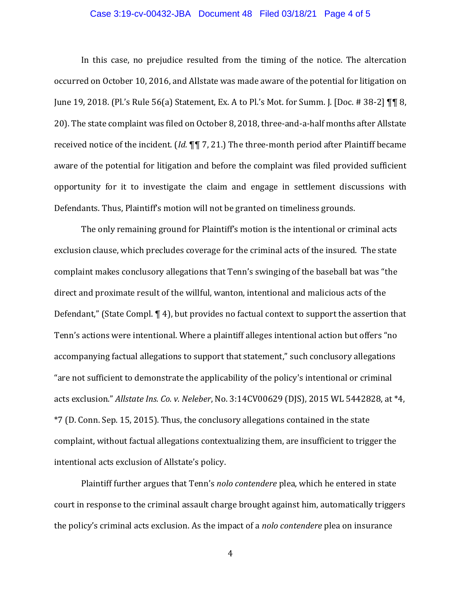## Case 3:19-cv-00432-JBA Document 48 Filed 03/18/21 Page 4 of 5

In this case, no prejudice resulted from the timing of the notice. The altercation occurred on October 10, 2016, and Allstate was made aware of the potential for litigation on June 19, 2018. (Pl.'s Rule 56(a) Statement, Ex. A to Pl.'s Mot. for Summ. J. [Doc. # 38-2] ¶¶ 8, 20). The state complaint was filed on October 8, 2018, three-and-a-half months after Allstate received notice of the incident. (*Id.* ¶¶ 7, 21.) The three-month period after Plaintiff became aware of the potential for litigation and before the complaint was filed provided sufficient opportunity for it to investigate the claim and engage in settlement discussions with Defendants. Thus, Plaintiff's motion will not be granted on timeliness grounds.

The only remaining ground for Plaintiff's motion is the intentional or criminal acts exclusion clause, which precludes coverage for the criminal acts of the insured. The state complaint makes conclusory allegations that Tenn's swinging of the baseball bat was "the direct and proximate result of the willful, wanton, intentional and malicious acts of the Defendant," (State Compl. ¶ 4), but provides no factual context to support the assertion that Tenn's actions were intentional. Where a plaintiff alleges intentional action but offers "no accompanying factual allegations to support that statement," such conclusory allegations "are not sufficient to demonstrate the applicability of the policy's intentional or criminal acts exclusion." *Allstate Ins. Co. v. Neleber*, No. 3:14CV00629 (DJS), 2015 WL 5442828, at \*4, \*7 (D. Conn. Sep. 15, 2015). Thus, the conclusory allegations contained in the state complaint, without factual allegations contextualizing them, are insufficient to trigger the intentional acts exclusion of Allstate's policy.

Plaintiff further argues that Tenn's *nolo contendere* plea, which he entered in state court in response to the criminal assault charge brought against him, automatically triggers the policy's criminal acts exclusion. As the impact of a *nolo contendere* plea on insurance

4